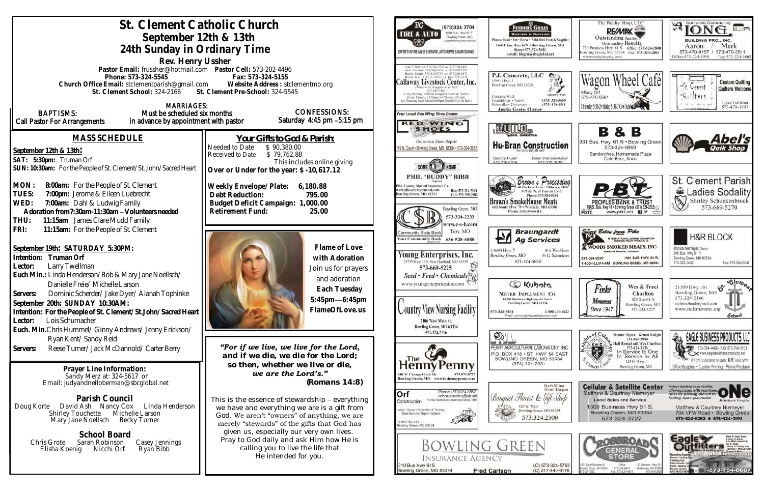| St. Clement Catholic Church<br>September 12th & 13th<br>24th Sunday in Ordinary Time                                                                                                                                                                                                                                                                                                                                                       | (573)324 3704<br>1400 Bus. Hwy 61 S.<br><b>TIRE &amp; AUTO</b><br>Bowling Green, MO<br>tated race) to Dollar Garantel<br>EXPERTS IN TIRE SALES & SERVICE, AUTO REPAIR & MAINTENANCE                                                                                                                                                                 | FEEDERS GRAIN<br><b>ВАСКУЛЯВ ТО ВАНNУЛЯ</b><br>Pioneer Seed . Pet . Horse . Wild Bird I<br>16491 Bas Hwy 61N . Bowling O<br>Store: 573-324-5411<br>e-mail: fdsgru@sbcgloba                                                                                                                                                |                                                                                                                                                                                                                                                   |
|--------------------------------------------------------------------------------------------------------------------------------------------------------------------------------------------------------------------------------------------------------------------------------------------------------------------------------------------------------------------------------------------------------------------------------------------|-----------------------------------------------------------------------------------------------------------------------------------------------------------------------------------------------------------------------------------------------------------------------------------------------------------------------------------------------------|---------------------------------------------------------------------------------------------------------------------------------------------------------------------------------------------------------------------------------------------------------------------------------------------------------------------------|---------------------------------------------------------------------------------------------------------------------------------------------------------------------------------------------------------------------------------------------------|
| Rev. Henry Ussher<br>Pastor Email: frussher@hotmail.com    Pastor Cell: 573-202-4496<br>Phone: 573-324-5545<br>Church Office Email: stclementparish@gmail.com Website Address : stclementmo.org<br>St. Clement School: 324-2166 St. Clement Pre-School: 324-5545                                                                                                                                                                           | John P. Hurrison 573-386-5150 or 573-220-1482<br>Juck: Hurrison: 573-386-2138 or: 573-800-7107<br>David Means 573-642-9753 or 573-220-0472<br>Callaway Livestock Center, Inc.<br>573-642-7486<br>Every Monday 10:00am Simulter Steers & Heifers<br>Every Monday 12:30pm All Classes of Cattle<br>1st Thursday Each Month 6:00pm Spacial Cow & Bulls | P.J. Concrete, LLC<br>15084 Hwy. J<br>Bowling Green, MO 63334<br>Concrete Work<br>Foundations - Patio's                                                                                                                                                                                                                   |                                                                                                                                                                                                                                                   |
| <b>MARRIAGES:</b><br><b>BAPTISMS:</b><br>Must be scheduled six months<br>Call Pastor For Arrangements<br>in advance by appointment with pastor                                                                                                                                                                                                                                                                                             | <b>CONFESSIONS:</b><br>Saturday 4:45 pm -5:15 pm                                                                                                                                                                                                                                                                                                    | Your Local Red Wing Shoe Dealer<br><b>RED WING</b><br><b>SHOES</b>                                                                                                                                                                                                                                                        | Sidewalks . Driveways<br><b>Justin Grote, Owner</b><br>BULLD.                                                                                                                                                                                     |
| <b>MASS SCHEDULE</b><br>September 12th & 13th:<br>SAT: 5:30pm: Truman Orf<br>SUN: 10:30am: For the People of St. Clement/St. John/Sacred Heart                                                                                                                                                                                                                                                                                             | Your Gifts to God & Parish:<br>Needed to Date<br>\$90,380.00<br>Received to Date<br>\$79,762.88<br>This includes online giving<br>Over or Under for the year: \$-10,617.12                                                                                                                                                                          | Hickerson Shoe Repair<br>16 N. Court . Bowling Green, MO 63334 . 573-324-3688<br>PHIL "BUDDY" BIBB                                                                                                                                                                                                                        | <b>Hu-Bran Constro</b><br>George Huber<br>Brian Bra                                                                                                                                                                                               |
| MON:<br>8:00am: For the People of St. Clement<br>TUES:<br>7:00pm: Jerome & Eileen Luebrecht<br>7:00am: Dahl & Ludwig Family<br>WED:<br>Adoration from 7:30am-11:30am - Volunteers needed<br>THU:<br>11:15am James Clare Mudd Family<br>11:15am: For the People of St. Clement<br>FRI:                                                                                                                                                      | Weekly Envelope/Plate:<br>6,180.88<br>Debt Reduction:<br>795.00<br>Budget Deficit Campaign: 1,000.00<br>Retirement Fund:<br>25.00                                                                                                                                                                                                                   | 'lke County Mutual Insurance Co.<br>ww.pikecountymutual.com<br>Bus: 573-324-5301<br>owling Green, MO 63334<br>Cell: 573-795-3503<br>Bowling Green, MO<br>573-324-2233<br>ww.c-s-b.com                                                                                                                                     | Brown & P<br>hone: 573-38<br><b>Brown's SmokeHouse M</b><br>Phone: 636-566-6112                                                                                                                                                                   |
| September 19th: SATURDAY 5:30PM:<br>Intention: Truman Orf<br>Larry Twellman<br>Lector:<br>Euch Min.: Linda Henderson/Bob & Mary Jane Noellsch/<br>Danielle Freie/ Michelle Larson<br>Dominic Scherder/ Jake Dyer/ Alanah Tophinke<br>Servers:<br>September 20th: SUNDAY 10:30AM:<br>Intention: For the People of St. Clement/St.John/Sacred Heart<br>Lois Schumacher<br>Lector:<br>Euch. Min. Chris Hummel/ Ginny Andrews/ Jenny Erickson/ | Flame of Love<br>with Adoration<br>Join us for prayers<br>and adoration<br>Each Tuesday<br>5:45pm-6:45pm<br>FlameOfLove.us                                                                                                                                                                                                                          | Troy, MO<br>Community State Bank<br>our Community Bank<br>636-528-6088<br>Young Enterprises, Inc.<br>25759 Hwy 161 . New Hartford, MO 63359<br>573-669-5225<br>Seed • Feed • Chemicals<br>www.youngenterprisesinc.com 3.<br>ountry View Nursing Facility<br>2106 West Main St.<br>Bowling Green, MO 63334<br>573-324-2216 | <b>Braunga</b><br><b>Ag Servi</b><br>13688 Hwy Y<br>Bowling Green, MO<br>573-324-6820<br><b>DIGUSOF</b><br><b>MEYER IMPLEMENT</b><br>16398 Business Highway 61 No<br>Bowling Green, MO 63334<br>573-324-5261<br>Email: service@meserimpleme<br>©ò |
| Ryan Kent/Sandy Reid<br>Reese Turner/ Jack McDannold/ Carter Berry<br>Servers:<br>Prayer Line Information:<br>Sandy Merz at: 324-5617 or<br>Email: judyandneiloberman@sbcglobal.net                                                                                                                                                                                                                                                        | "For if we live, we live for the Lord,<br>and if we die, we die for the Lord;<br>so then, whether we live or die,<br>we are the Lord's."<br>(Romans 14:8)                                                                                                                                                                                           | .The<br>Penny<br>00 W Champ Clark Dr<br>573.975.9727<br>Bowling Green, MO www.thehennypenny.com                                                                                                                                                                                                                           | PERRY AGRICULTURAL LABOR<br>P.O. BOX 418 . ST. HWY<br>BOWLING GREEN, MO<br>(573) 324-2931                                                                                                                                                         |
| Parish Council<br>David Ash Nancy Cox<br>Linda Henderson<br>Doug Korte<br>Michelle Larson<br><b>Shirley Touchette</b><br>Mary Jane Noellsch<br><b>Becky Turner</b><br>School Board<br>Sarah Robinson<br>Chris Grote<br>Casey Jennings<br>Nicchi Orf<br>Ryan Bibb<br>Elisha Koenig                                                                                                                                                          | This is the essence of stewardship - everything<br>we have and everything we are is a gift from<br>God. We aren't "owners" of anything, we are<br>merely "stewards" of the gifts that God has<br>given us, especially our very own lives.<br>Pray to God daily and ask Him how He is<br>calling you to live the life that<br>He intended for you.   | Phone: (573)324-3552<br>Orf<br>orfconstruction@att.net<br>Family owned and operated since 1964<br>Construction<br>Water . Sewer . Excavation & Trucking<br>State Approved Septic Installers<br>15381 Pike 313<br>owling Green, MO 63334<br><b>INSURANCE AGENCY</b><br>310 Bus Hwy 61S                                     | Bouquet Florist & G.<br>Bowling Green, M<br>573.324.2<br><b>BOWLING GREEN</b>                                                                                                                                                                     |
|                                                                                                                                                                                                                                                                                                                                                                                                                                            |                                                                                                                                                                                                                                                                                                                                                     | Bowling Green, MO 63334                                                                                                                                                                                                                                                                                                   | $(O)$ 57:<br>$(C)$ 21<br><b>Fred Carlson</b>                                                                                                                                                                                                      |